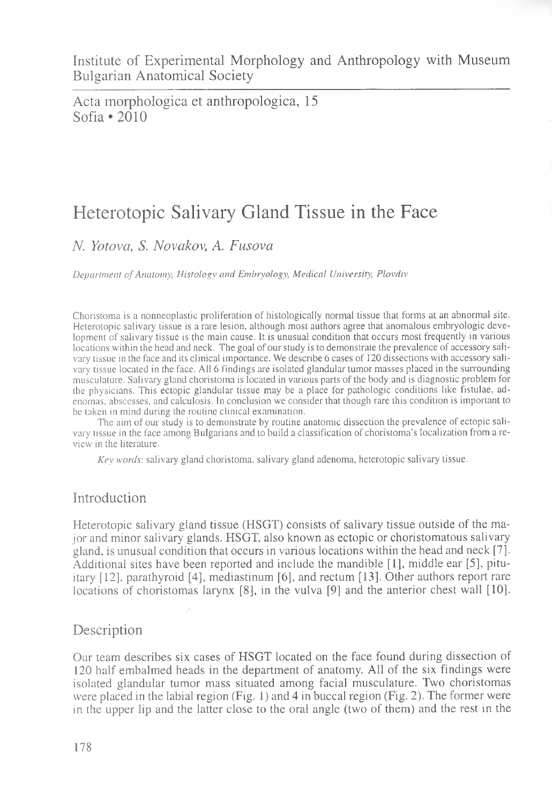Acta morphologica et anthropologica, 15 Sofia  $\cdot$  2010

# Heterotopic Salivary Gland Tissue in the Face

*N. Yotova, S. Novakov, A. Fusova*

*Department of Anatomy, Histology and Embryology, Medical University, Plovdiv*

Choristoma is a nonneoplastic proliferation of histologically normal tissue that forms at an abnormal site. Heterotopic salivary tissue is a rare lesion, although most authors agree that anomalous embryologic development of salivary tissue is the main cause. It is unusual condition that occurs most frequently in various locations within the head and neck. The goal of our study is to demonstrate the prevalence of accessory salivary tissue in the face and its clinical importance. We describe 6 cases of 120 dissections with accessory salivary tissue located in the face. All 6 findings are isolated glandular tumor masses placed in the surrounding musculature. Salivary gland choristoma is located in various parts of the body and is diagnostic problem for the physicians. This ectopic glandular tissue may be a place for pathologic conditions like fistulae, adenomas, abscesses, and calculosis. In conclusion we consider that though rare this condition is important to be taken in mind during the routine clinical examination.

The aim of our study is to demonstrate by routine anatomic dissection the prevalence of ectopic salivary tissue in the face among Bulgarians and to build a classification of choristoma's localization from a review in the literature.

*Key words:* salivary gland choristoma, salivary gland adenoma, heterotopic salivary tissue.

## Introduction

Heterotopic salivary gland tissue (HSGT) consists of salivary tissue outside of the major and minor salivary glands. HSGT, also known as ectopic or choristomatous salivary gland, is unusual condition that occurs in various locations within the head and neck [7]. Additional sites have been reported and include the mandible [1], middle ear [5], pituitary [12], parathyroid [4], mediastinum [6 ], and rectum [13]. Other authors report rare locations of choristomas larynx  $[8]$ , in the vulva  $[9]$  and the anterior chest wall  $[10]$ .

## **Description**

Our team describes six cases of HSGT located on the face found during dissection of 120 half embalmed heads in the department of anatomy. All of the six findings were isolated glandular tumor mass situated among facial musculature. Two choristomas were placed in the labial region (Fig. 1) and 4 in buccal region (Fig. 2). The former were in the upper lip and the latter close to the oral angle (two of them) and the rest in the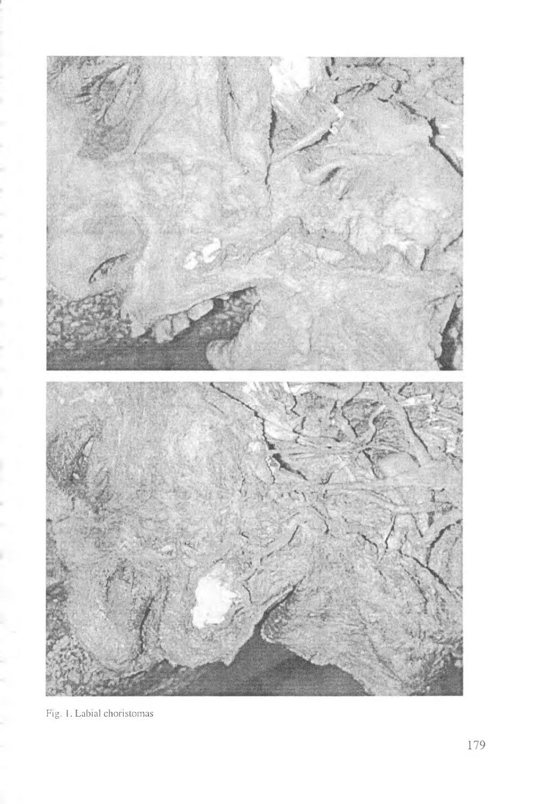

Fig. 1. Labial choristomas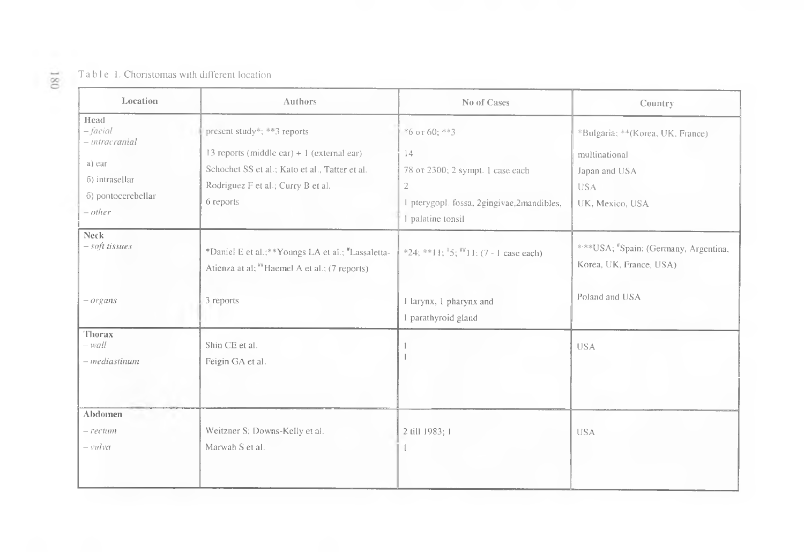### Table 1. Choristomas with different location

| Location                                                                                          | Authors                                                                                                                                                                         | No of Cases                                                                                                                                   | Country                                                                                             |
|---------------------------------------------------------------------------------------------------|---------------------------------------------------------------------------------------------------------------------------------------------------------------------------------|-----------------------------------------------------------------------------------------------------------------------------------------------|-----------------------------------------------------------------------------------------------------|
| Head<br>– facial<br>- intracranial<br>a) ear<br>6) intrasellar<br>6) pontocerebellar<br>$- other$ | present study*; **3 reports<br>13 reports (middle ear) $+1$ (external ear)<br>Schochet SS et al.; Kato et al., Tatter et al.<br>Rodriguez F et al.; Curry B et al.<br>6 reports | $*6$ or 60; $**3$<br>14<br>78 от 2300; 2 sympt. 1 case each<br>$\mathbf{2}$<br>1 pterygopl. fossa, 2gingivae,2mandibles,<br>1 palatine tonsil | *Bulgaria; **(Korea, UK, France)<br>multinational<br>Japan and USA<br><b>USA</b><br>UK, Mexico, USA |
| <b>Neck</b><br>- soft tissues                                                                     | *Daniel E et al.;**Youngs LA et al.; "Lassaletta-<br>Atienza at al; ##Haemel A et al.; (7 reports)                                                                              | *24; **11; $\frac{1}{7}$ 5; $\frac{11}{11}$ : (7 - 1 case each)                                                                               | ****USA; "Spain: (Germany, Argentina,<br>Korea, UK, France, USA)                                    |
| $-$ organs                                                                                        | 3 reports                                                                                                                                                                       | Harynx, 1 pharynx and<br>1 parathyroid gland                                                                                                  | Poland and USA                                                                                      |
| Thorax<br>– wall<br>- mediastinum                                                                 | Shin CE et al.<br>Feigin GA et al.                                                                                                                                              |                                                                                                                                               | <b>USA</b>                                                                                          |
| Abdomen<br>$-^{-}$ rectum<br>$-$ vulva                                                            | Weitzner S; Downs-Kelly et al.<br>Marwah S et al.                                                                                                                               | 2 till 1983; 1<br>-1                                                                                                                          | <b>USA</b>                                                                                          |

 $180\,$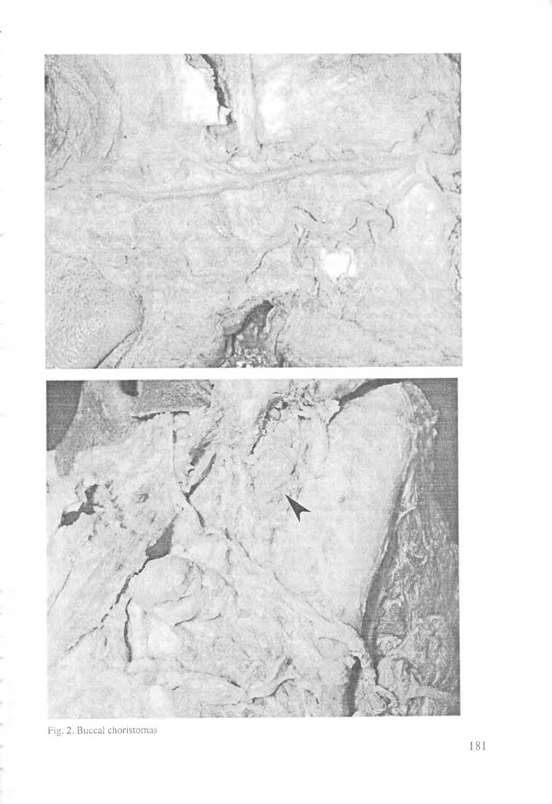

Fig. 2. Buccal choristomas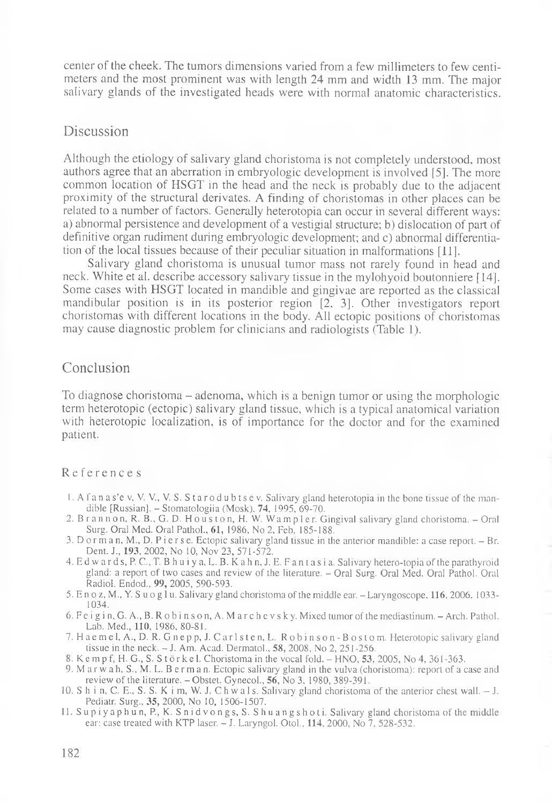center of the cheek. The tumors dimensions varied from a few millimeters to few centimeters and the most prominent was with length 24 mm and width 13 mm. The major salivary glands of the investigated heads were with normal anatomic characteristics.

## Discussion

Although the etiology of salivary gland choristoma is not completely understood, most authors agree that an aberration in embryologic development is involved [5]. The more common location of HSGT in the head and the neck is probably due to the adjacent proximity of the structural derivates. A finding of choristomas in other places can be related to a number of factors. Generally heterotopia can occur in several different ways: a) abnormal persistence and development of a vestigial structure; b) dislocation of part of definitive organ rudiment during embryologic development; and c) abnormal differentiation of the local tissues because of their peculiar situation in malformations [11].

Salivary gland choristoma is unusual tumor mass not rarely found in head and neck. White et al. describe accessory salivary tissue in the mylohyoid boutonniere [14]. Some cases with HSGT located in mandible and gingivae are reported as the classical mandibular position is in its posterior region [2. 3]. Other investigators report choristomas with different locations in the body. All ectopic positions of choristomas may cause diagnostic problem for clinicians and radiologists (Table 1).

## Conclusion

To diagnose choristoma - adenoma, which is a benign tumor or using the morphologic term heterotopic (ectopic) salivary gland tissue, which is a typical anatomical variation with heterotopic localization, is of importance for the doctor and for the examined patient.

#### Reference s

- 1. A f a n a s'e v, V. V, V. S. Starodubtsev. Salivary gland heterotopia in the bone tissue of the mandible [Russian]. - Stomatologiia (Mosk), 74, 1995, 69-70.
- 2. B r a n n o n, R. B., G. D. H o u s t o n, H. W. Wa m p l e r. Gingival salivary gland choristoma. Oral Surg. Oral Med. Oral Pathol., 61, 1986, No 2, Feb, 185-188.
- 3. Dorman, M., D. Pierse. Ectopic salivary gland tissue in the anterior mandible: a case report. Br. Dent. J., 193, 2002, No 10, Nov 23, 571-572.
- 4. Ed w a rd s, P. C., T. B h u i y a, L. В. K ah n, J. E. F an t as i a. Salivary hetero-topia of the parathyroid gland: a report of two cases and review of the literature. - Oral Surg. Oral Med. Oral Pathol. Oral Radiol. Endod., 99, 2005, 590-593.
- 5. E n oz, M., У. S u og 1 u. Salivary gland choristoma of the middle ear. Laryngoscope. 116, 2006. 1033 1034.
- 6. Fe i g i n, G. A., B. R ob i n s on, A. M arch e v s ky. Mixed tumor of the mediastinum. Arch. Pathol. Lab. Med., 110, 1986, 80-81.
- 7. H a e m e l, A., D. R. G n e p p, J. C arlsten, L. R obins on B ostom. Heterotopic salivary gland tissue in the neck. - J. Am. Acad. Dermatol., 58, 2008, No 2, 251-256.
- 8. K e m p f, H. G., S. S t ö r k e l. Choristoma in the vocal fold.  $-$  HNO,  $53$ , 2005, No 4, 361-363.
- 9. Marwah, S.,M. L. Berman. Ectopic salivary gland in the vulva (choristoma): report of a case and review of the literature. - Obstet. Gynecol., 56, No 3, 1980, 389-391.
- 10. S h i n, C. E., S. S. K i m, W. J. C h w a 1 s. Salivary gland choristoma of the anterior chest wall. J. Pediatr. Surg., 35, 2000, No 10, 1506-1507.
- l l. Supiyaphun, P., K. Snidvongs, S. Shuangshoti. Salivary gland choristoma of the middle ear: case treated with KTP laser. - J. Laryngol. Otol., 114, 2000, No 7, 528-532.